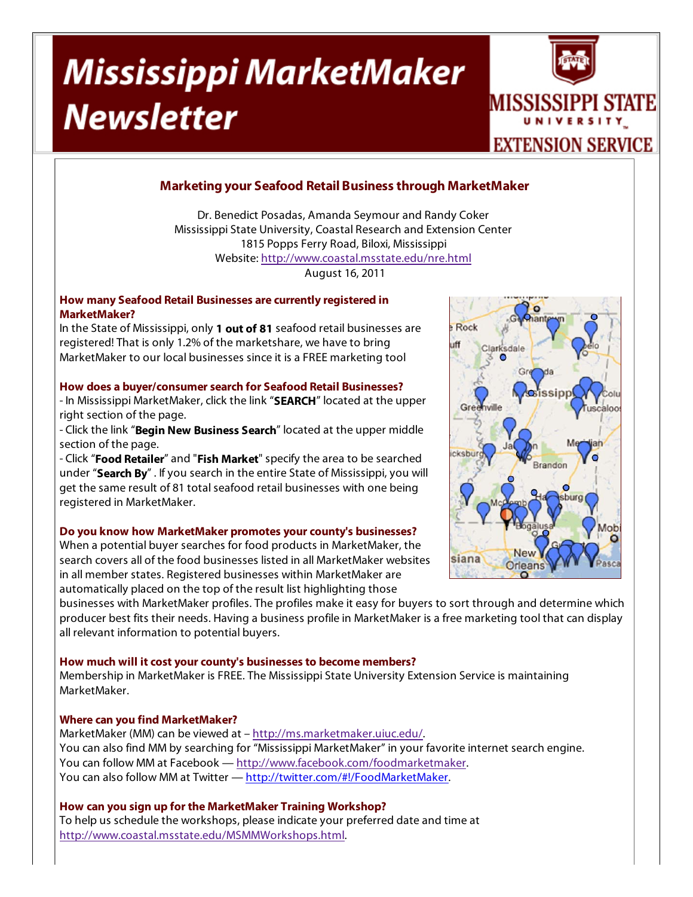# Mississippi MarketMaker **Newsletter**



## **Marketing your Seafood Retail Business through MarketMaker**

Dr. Benedict Posadas, Amanda Seymour and Randy Coker Mississippi State University, Coastal Research and Extension Center 1815 Popps Ferry Road, Biloxi, Mississippi Website: http://www.coastal.msstate.edu/nre.html August 16, 2011

#### **How many Seafood Retail Businesses are currently registered in MarketMaker?**

In the State of Mississippi, only **1 out of 81** seafood retail businesses are registered! That is only 1.2% of the marketshare, we have to bring MarketMaker to our local businesses since it is a FREE marketing tool

#### **How does a buyer/consumer search for Seafood Retail Businesses?**

- In Mississippi MarketMaker, click the link "**SEARCH**" located at the upper right section of the page.

- Click the link "**Begin New Business Search**" located at the upper middle section of the page.

- Click "**Food Retailer**" and "**Fish Market**" specify the area to be searched under "**Search By**" . If you search in the entire State of Mississippi, you will get the same result of 81 total seafood retail businesses with one being registered in MarketMaker.

#### **Do you know how MarketMaker promotes your county's businesses?**

When a potential buyer searches for food products in MarketMaker, the search covers all of the food businesses listed in all MarketMaker websites in all member states. Registered businesses within MarketMaker are automatically placed on the top of the result list highlighting those

businesses with MarketMaker profiles. The profiles make it easy for buyers to sort through and determine which producer best fits their needs. Having a business profile in MarketMaker is a free marketing tool that can display all relevant information to potential buyers.

#### **How much will it cost your county's businesses to become members?**

Membership in MarketMaker is FREE. The Mississippi State University Extension Service is maintaining MarketMaker.

### **Where can you find MarketMaker?**

MarketMaker (MM) can be viewed at – http://ms.marketmaker.uiuc.edu/. You can also find MM by searching for "Mississippi MarketMaker" in your favorite internet search engine. You can follow MM at Facebook — http://www.facebook.com/foodmarketmaker. You can also follow MM at Twitter — http://twitter.com/#!/FoodMarketMaker.

**How can you sign up for the MarketMaker Training Workshop?** To help us schedule the workshops, please indicate your preferred date and time at http://www.coastal.msstate.edu/MSMMWorkshops.html.